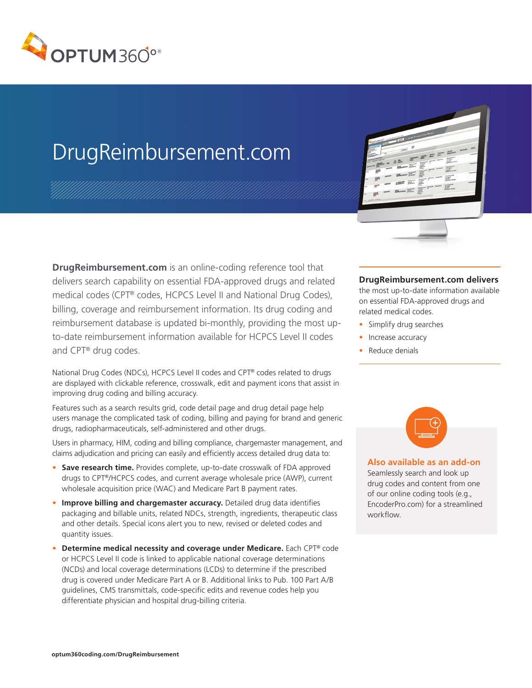

## DrugReimbursement.com

**DrugReimbursement.com** is an online-coding reference tool that delivers search capability on essential FDA-approved drugs and related medical codes (CPT® codes, HCPCS Level II and National Drug Codes), billing, coverage and reimbursement information. Its drug coding and reimbursement database is updated bi-monthly, providing the most upto-date reimbursement information available for HCPCS Level II codes and CPT® drug codes.

National Drug Codes (NDCs), HCPCS Level II codes and CPT® codes related to drugs are displayed with clickable reference, crosswalk, edit and payment icons that assist in improving drug coding and billing accuracy.

Features such as a search results grid, code detail page and drug detail page help users manage the complicated task of coding, billing and paying for brand and generic drugs, radiopharmaceuticals, self-administered and other drugs.

Users in pharmacy, HIM, coding and billing compliance, chargemaster management, and claims adjudication and pricing can easily and efficiently access detailed drug data to:

- **• Save research time.** Provides complete, up-to-date crosswalk of FDA approved drugs to CPT®/HCPCS codes, and current average wholesale price (AWP), current wholesale acquisition price (WAC) and Medicare Part B payment rates.
- **• Improve billing and chargemaster accuracy.** Detailed drug data identifies packaging and billable units, related NDCs, strength, ingredients, therapeutic class and other details. Special icons alert you to new, revised or deleted codes and quantity issues.
- **• Determine medical necessity and coverage under Medicare.** Each CPT® code or HCPCS Level II code is linked to applicable national coverage determinations (NCDs) and local coverage determinations (LCDs) to determine if the prescribed drug is covered under Medicare Part A or B. Additional links to Pub. 100 Part A/B guidelines, CMS transmittals, code-specific edits and revenue codes help you differentiate physician and hospital drug-billing criteria.



## **DrugReimbursement.com delivers**

the most up-to-date information available on essential FDA-approved drugs and related medical codes.

- Simplify drug searches
- Increase accuracy
- Reduce denials



**Also available as an add-on** Seamlessly search and look up drug codes and content from one of our online coding tools (e.g., EncoderPro.com) for a streamlined workflow.